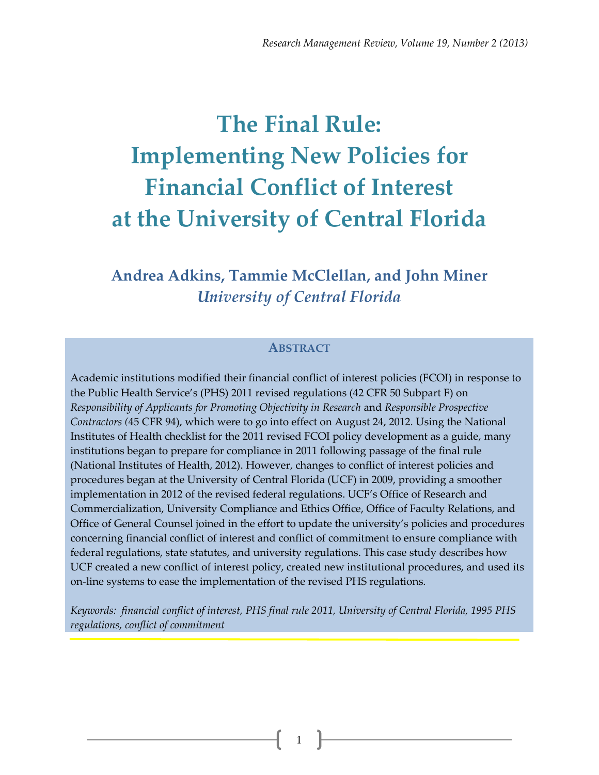# **The Final Rule: Implementing New Policies for Financial Conflict of Interest at the University of Central Florida**

**Andrea Adkins, Tammie McClellan, and John Miner** *University of Central Florida*

#### **ABSTRACT**

Academic institutions modified their financial conflict of interest policies (FCOI) in response to the Public Health Service's (PHS) 2011 revised regulations (42 CFR 50 Subpart F) on *Responsibility of Applicants for Promoting Objectivity in Research* and *Responsible Prospective Contractors (*45 CFR 94), which were to go into effect on August 24, 2012*.* Using the National Institutes of Health checklist for the 2011 revised FCOI policy development as a guide, many institutions began to prepare for compliance in 2011 following passage of the final rule (National Institutes of Health, 2012). However, changes to conflict of interest policies and procedures began at the University of Central Florida (UCF) in 2009, providing a smoother implementation in 2012 of the revised federal regulations. UCF's Office of Research and Commercialization, University Compliance and Ethics Office, Office of Faculty Relations, and Office of General Counsel joined in the effort to update the university's policies and procedures concerning financial conflict of interest and conflict of commitment to ensure compliance with federal regulations, state statutes, and university regulations. This case study describes how UCF created a new conflict of interest policy, created new institutional procedures, and used its on-line systems to ease the implementation of the revised PHS regulations.

*Keywords: financial conflict of interest, PHS final rule 2011, University of Central Florida, 1995 PHS regulations, conflict of commitment*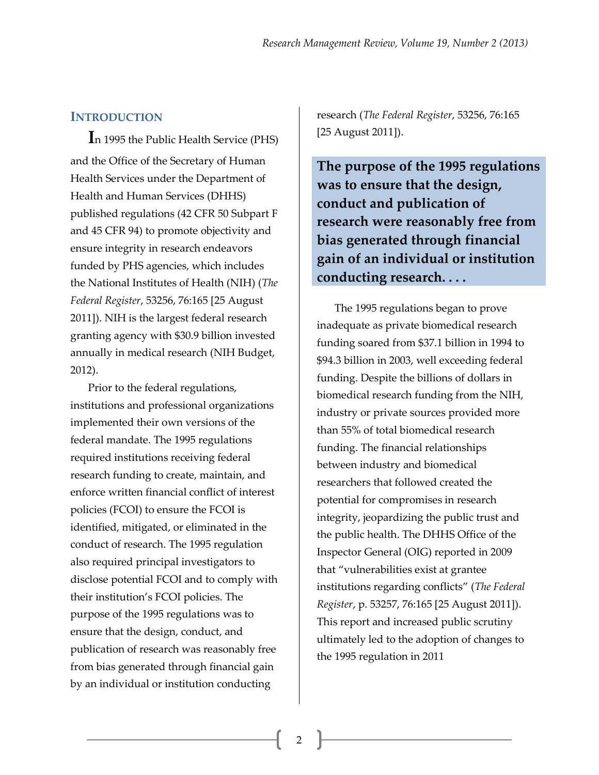### **INTRODUCTION**

**I**n 1995 the Public Health Service (PHS) and the Office of the Secretary of Human Health Services under the Department of Health and Human Services (DHHS) published regulations (42 CFR 50 Subpart F and 45 CFR 94) to promote objectivity and ensure integrity in research endeavors funded by PHS agencies, which includes the National Institutes of Health (NIH) (*The Federal Register*, 53256, 76:165 [25 August 2011]). NIH is the largest federal research granting agency with \$30.9 billion invested annually in medical research (NIH Budget, 2012).

Prior to the federal regulations, institutions and professional organizations implemented their own versions of the federal mandate. The 1995 regulations required institutions receiving federal research funding to create, maintain, and enforce written financial conflict of interest policies (FCOI) to ensure the FCOI is identified, mitigated, or eliminated in the conduct of research. The 1995 regulation also required principal investigators to disclose potential FCOI and to comply with their institution's FCOI policies. The purpose of the 1995 regulations was to ensure that the design, conduct, and publication of research was reasonably free from bias generated through financial gain by an individual or institution conducting

research (*The Federal Register*, 53256, 76:165 [25 August 2011]).

**The purpose of the 1995 regulations was to ensure that the design, conduct and publication of research were reasonably free from bias generated through financial gain of an individual or institution conducting research. . . .**

The 1995 regulations began to prove inadequate as private biomedical research funding soared from \$37.1 billion in 1994 to \$94.3 billion in 2003, well exceeding federal funding. Despite the billions of dollars in biomedical research funding from the NIH, industry or private sources provided more than 55% of total biomedical research funding. The financial relationships between industry and biomedical researchers that followed created the potential for compromises in research integrity, jeopardizing the public trust and the public health. The DHHS Office of the Inspector General (OIG) reported in 2009 that "vulnerabilities exist at grantee institutions regarding conflicts" (*The Federal Register*, p. 53257, 76:165 [25 August 2011]). This report and increased public scrutiny ultimately led to the adoption of changes to the 1995 regulation in 2011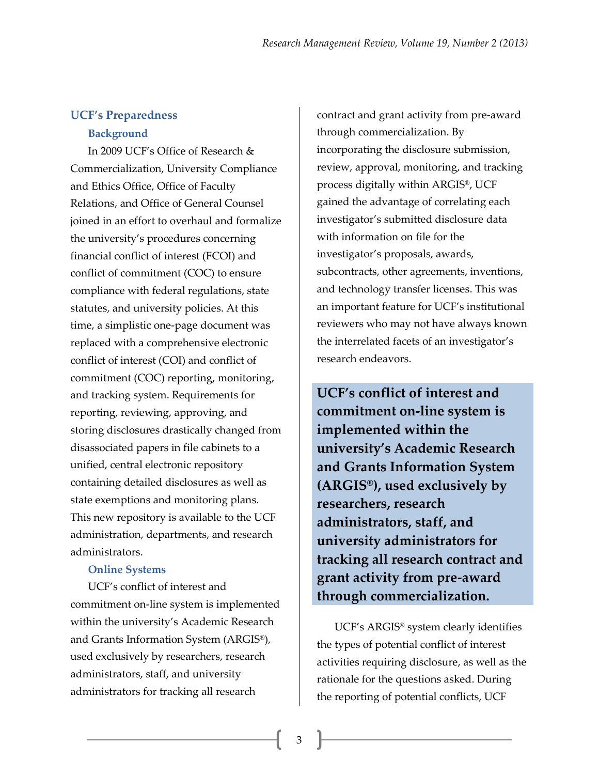# **UCF's Preparedness Background**

In 2009 UCF's Office of Research & Commercialization, University Compliance and Ethics Office, Office of Faculty Relations, and Office of General Counsel joined in an effort to overhaul and formalize the university's procedures concerning financial conflict of interest (FCOI) and conflict of commitment (COC) to ensure compliance with federal regulations, state statutes, and university policies. At this time, a simplistic one-page document was replaced with a comprehensive electronic conflict of interest (COI) and conflict of commitment (COC) reporting, monitoring, and tracking system. Requirements for reporting, reviewing, approving, and storing disclosures drastically changed from disassociated papers in file cabinets to a unified, central electronic repository containing detailed disclosures as well as state exemptions and monitoring plans. This new repository is available to the UCF administration, departments, and research administrators.

### **Online Systems**

UCF's conflict of interest and commitment on-line system is implemented within the university's Academic Research and Grants Information System (ARGIS®), used exclusively by researchers, research administrators, staff, and university administrators for tracking all research

contract and grant activity from pre-award through commercialization. By incorporating the disclosure submission, review, approval, monitoring, and tracking process digitally within ARGIS®, UCF gained the advantage of correlating each investigator's submitted disclosure data with information on file for the investigator's proposals, awards, subcontracts, other agreements, inventions, and technology transfer licenses. This was an important feature for UCF's institutional reviewers who may not have always known the interrelated facets of an investigator's research endeavors.

**UCF's conflict of interest and commitment on-line system is implemented within the university's Academic Research and Grants Information System (ARGIS®), used exclusively by researchers, research administrators, staff, and university administrators for tracking all research contract and grant activity from pre-award through commercialization.**

UCF's ARGIS® system clearly identifies the types of potential conflict of interest activities requiring disclosure, as well as the rationale for the questions asked. During the reporting of potential conflicts, UCF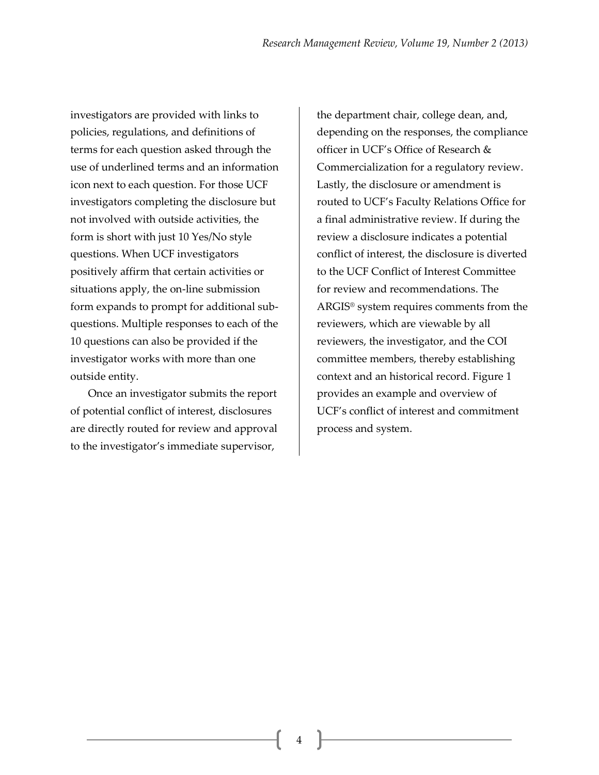investigators are provided with links to policies, regulations, and definitions of terms for each question asked through the use of underlined terms and an information icon next to each question. For those UCF investigators completing the disclosure but not involved with outside activities, the form is short with just 10 Yes/No style questions. When UCF investigators positively affirm that certain activities or situations apply, the on-line submission form expands to prompt for additional subquestions. Multiple responses to each of the 10 questions can also be provided if the investigator works with more than one outside entity.

Once an investigator submits the report of potential conflict of interest, disclosures are directly routed for review and approval to the investigator's immediate supervisor,

the department chair, college dean, and, depending on the responses, the compliance officer in UCF's Office of Research & Commercialization for a regulatory review. Lastly, the disclosure or amendment is routed to UCF's Faculty Relations Office for a final administrative review. If during the review a disclosure indicates a potential conflict of interest, the disclosure is diverted to the UCF Conflict of Interest Committee for review and recommendations. The ARGIS® system requires comments from the reviewers, which are viewable by all reviewers, the investigator, and the COI committee members, thereby establishing context and an historical record. Figure 1 provides an example and overview of UCF's conflict of interest and commitment process and system.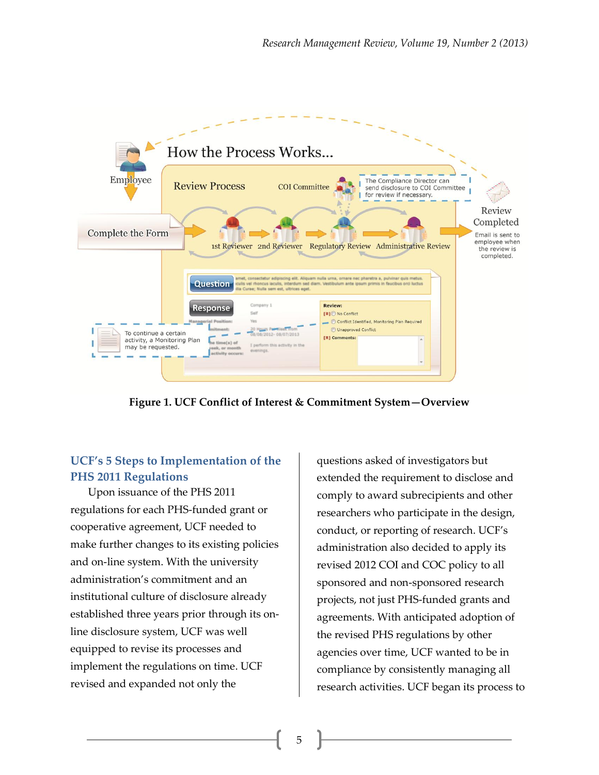

**Figure 1. UCF Conflict of Interest & Commitment System—Overview**

### **UCF's 5 Steps to Implementation of the PHS 2011 Regulations**

Upon issuance of the PHS 2011 regulations for each PHS-funded grant or cooperative agreement, UCF needed to make further changes to its existing policies and on-line system. With the university administration's commitment and an institutional culture of disclosure already established three years prior through its online disclosure system, UCF was well equipped to revise its processes and implement the regulations on time. UCF revised and expanded not only the

questions asked of investigators but extended the requirement to disclose and comply to award subrecipients and other researchers who participate in the design, conduct, or reporting of research. UCF's administration also decided to apply its revised 2012 COI and COC policy to all sponsored and non-sponsored research projects, not just PHS-funded grants and agreements. With anticipated adoption of the revised PHS regulations by other agencies over time, UCF wanted to be in compliance by consistently managing all research activities. UCF began its process to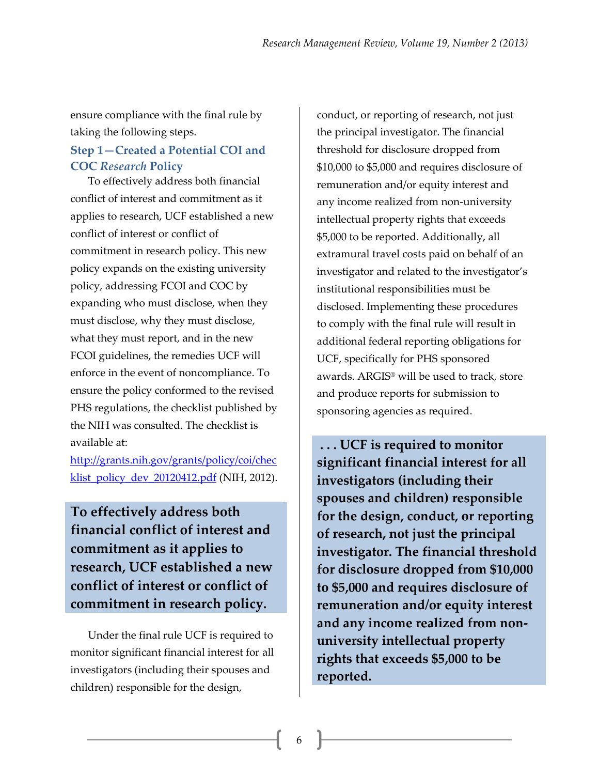ensure compliance with the final rule by taking the following steps.

# **Step 1—Created a Potential COI and COC** *Research* **Policy**

To effectively address both financial conflict of interest and commitment as it applies to research, UCF established a new conflict of interest or conflict of commitment in research policy. This new policy expands on the existing university policy, addressing FCOI and COC by expanding who must disclose, when they must disclose, why they must disclose, what they must report, and in the new FCOI guidelines, the remedies UCF will enforce in the event of noncompliance. To ensure the policy conformed to the revised PHS regulations, the checklist published by the NIH was consulted. The checklist is available at:

[http://grants.nih.gov/grants/policy/coi/chec](http://grants.nih.gov/grants/policy/coi/checklist_policy_dev_20120412.pdf) klist policy dev 20120412.pdf (NIH, 2012).

**To effectively address both financial conflict of interest and commitment as it applies to research, UCF established a new conflict of interest or conflict of commitment in research policy.**

Under the final rule UCF is required to monitor significant financial interest for all investigators (including their spouses and children) responsible for the design,

conduct, or reporting of research, not just the principal investigator. The financial threshold for disclosure dropped from \$10,000 to \$5,000 and requires disclosure of remuneration and/or equity interest and any income realized from non-university intellectual property rights that exceeds \$5,000 to be reported. Additionally, all extramural travel costs paid on behalf of an investigator and related to the investigator's institutional responsibilities must be disclosed. Implementing these procedures to comply with the final rule will result in additional federal reporting obligations for UCF, specifically for PHS sponsored awards. ARGIS® will be used to track, store and produce reports for submission to sponsoring agencies as required.

**. . . UCF is required to monitor significant financial interest for all investigators (including their spouses and children) responsible for the design, conduct, or reporting of research, not just the principal investigator. The financial threshold for disclosure dropped from \$10,000 to \$5,000 and requires disclosure of remuneration and/or equity interest and any income realized from nonuniversity intellectual property rights that exceeds \$5,000 to be reported.**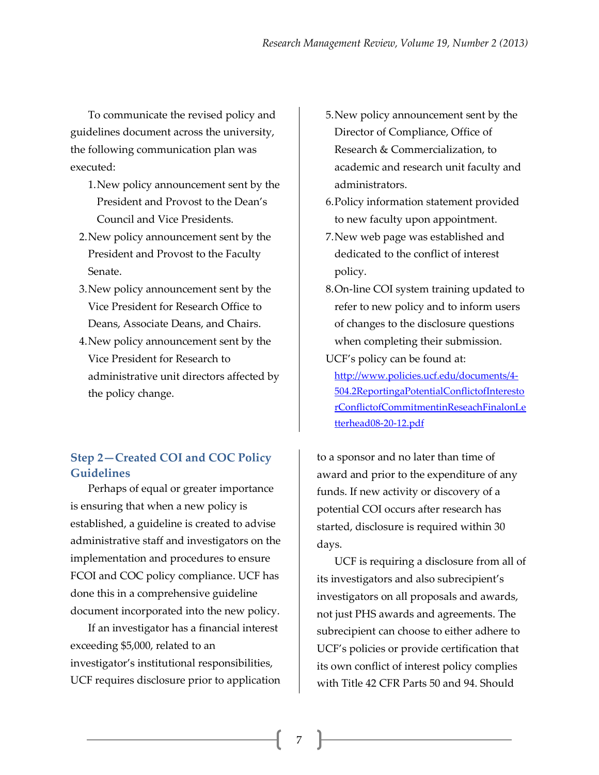To communicate the revised policy and guidelines document across the university, the following communication plan was executed:

- 1.New policy announcement sent by the President and Provost to the Dean's Council and Vice Presidents.
- 2.New policy announcement sent by the President and Provost to the Faculty Senate.
- 3.New policy announcement sent by the Vice President for Research Office to Deans, Associate Deans, and Chairs.
- 4.New policy announcement sent by the Vice President for Research to administrative unit directors affected by the policy change.

### **Step 2—Created COI and COC Policy Guidelines**

Perhaps of equal or greater importance is ensuring that when a new policy is established, a guideline is created to advise administrative staff and investigators on the implementation and procedures to ensure FCOI and COC policy compliance. UCF has done this in a comprehensive guideline document incorporated into the new policy.

If an investigator has a financial interest exceeding \$5,000, related to an investigator's institutional responsibilities, UCF requires disclosure prior to application

- 5.New policy announcement sent by the Director of Compliance, Office of Research & Commercialization, to academic and research unit faculty and administrators.
- 6.Policy information statement provided to new faculty upon appointment.
- 7.New web page was established and dedicated to the conflict of interest policy.
- 8.On-line COI system training updated to refer to new policy and to inform users of changes to the disclosure questions when completing their submission. UCF's policy can be found at:

[http://www.policies.ucf.edu/documents/4-](http://www.policies.ucf.edu/documents/4-504.2ReportingaPotentialConflictofInterestorConflictofCommitmentinReseachFinalonLetterhead08-20-12.pdf) [504.2ReportingaPotentialConflictofInteresto](http://www.policies.ucf.edu/documents/4-504.2ReportingaPotentialConflictofInterestorConflictofCommitmentinReseachFinalonLetterhead08-20-12.pdf) [rConflictofCommitmentinReseachFinalonLe](http://www.policies.ucf.edu/documents/4-504.2ReportingaPotentialConflictofInterestorConflictofCommitmentinReseachFinalonLetterhead08-20-12.pdf) [tterhead08-20-12.pdf](http://www.policies.ucf.edu/documents/4-504.2ReportingaPotentialConflictofInterestorConflictofCommitmentinReseachFinalonLetterhead08-20-12.pdf)

to a sponsor and no later than time of award and prior to the expenditure of any funds. If new activity or discovery of a potential COI occurs after research has started, disclosure is required within 30 days.

UCF is requiring a disclosure from all of its investigators and also subrecipient's investigators on all proposals and awards, not just PHS awards and agreements. The subrecipient can choose to either adhere to UCF's policies or provide certification that its own conflict of interest policy complies with Title 42 CFR Parts 50 and 94. Should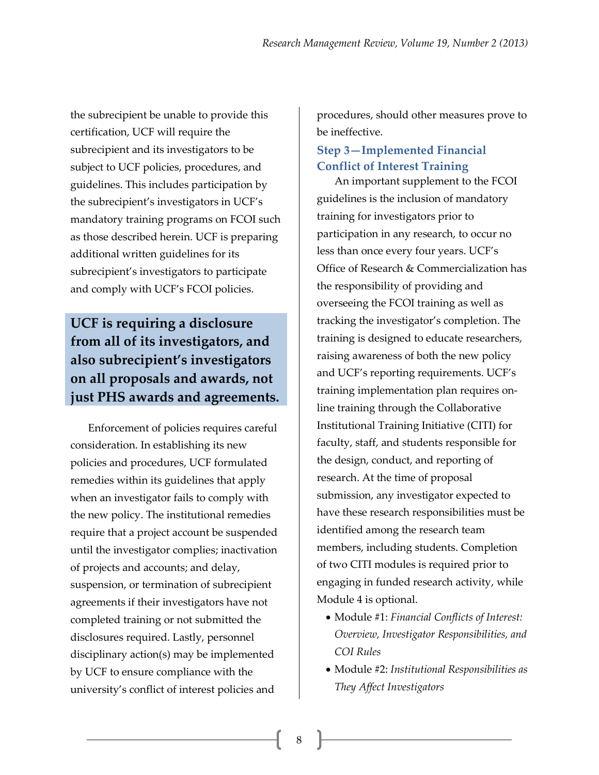the subrecipient be unable to provide this certification, UCF will require the subrecipient and its investigators to be subject to UCF policies, procedures, and guidelines. This includes participation by the subrecipient's investigators in UCF's mandatory training programs on FCOI such as those described herein. UCF is preparing additional written guidelines for its subrecipient's investigators to participate and comply with UCF's FCOI policies.

# **UCF is requiring a disclosure from all of its investigators, and also subrecipient's investigators on all proposals and awards, not just PHS awards and agreements.**

Enforcement of policies requires careful consideration. In establishing its new policies and procedures, UCF formulated remedies within its guidelines that apply when an investigator fails to comply with the new policy. The institutional remedies require that a project account be suspended until the investigator complies; inactivation of projects and accounts; and delay, suspension, or termination of subrecipient agreements if their investigators have not completed training or not submitted the disclosures required. Lastly, personnel disciplinary action(s) may be implemented by UCF to ensure compliance with the university's conflict of interest policies and

procedures, should other measures prove to be ineffective.

## **Step 3—Implemented Financial Conflict of Interest Training**

An important supplement to the FCOI guidelines is the inclusion of mandatory training for investigators prior to participation in any research, to occur no less than once every four years. UCF's Office of Research & Commercialization has the responsibility of providing and overseeing the FCOI training as well as tracking the investigator's completion. The training is designed to educate researchers, raising awareness of both the new policy and UCF's reporting requirements. UCF's training implementation plan requires online training through the Collaborative Institutional Training Initiative (CITI) for faculty, staff, and students responsible for the design, conduct, and reporting of research. At the time of proposal submission, any investigator expected to have these research responsibilities must be identified among the research team members, including students. Completion of two CITI modules is required prior to engaging in funded research activity, while Module 4 is optional.

- Module #1: *Financial Conflicts of Interest: Overview, Investigator Responsibilities, and COI Rules*
- Module #2: *Institutional Responsibilities as They Affect Investigators*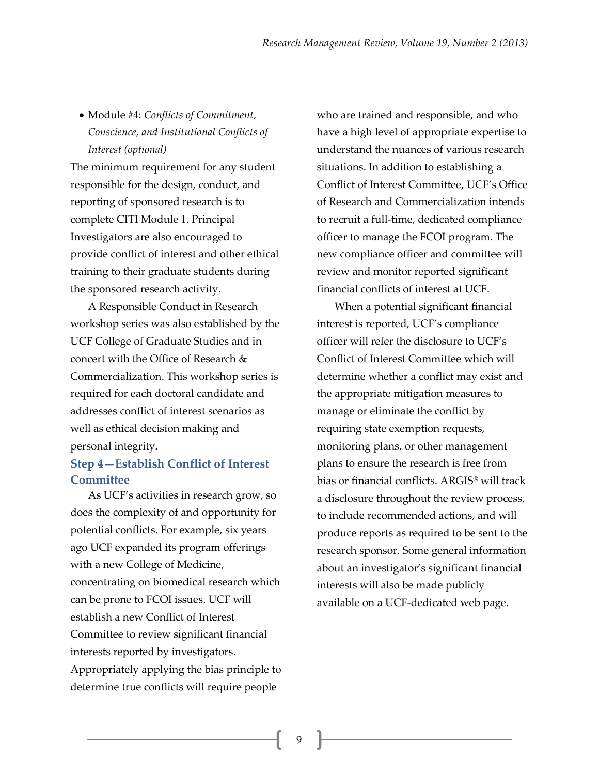Module #4: *Conflicts of Commitment, Conscience, and Institutional Conflicts of Interest (optional)*

The minimum requirement for any student responsible for the design, conduct, and reporting of sponsored research is to complete CITI Module 1. Principal Investigators are also encouraged to provide conflict of interest and other ethical training to their graduate students during the sponsored research activity.

A Responsible Conduct in Research workshop series was also established by the UCF College of Graduate Studies and in concert with the Office of Research & Commercialization. This workshop series is required for each doctoral candidate and addresses conflict of interest scenarios as well as ethical decision making and personal integrity.

### **Step 4—Establish Conflict of Interest Committee**

As UCF's activities in research grow, so does the complexity of and opportunity for potential conflicts. For example, six years ago UCF expanded its program offerings with a new College of Medicine, concentrating on biomedical research which can be prone to FCOI issues. UCF will establish a new Conflict of Interest Committee to review significant financial interests reported by investigators. Appropriately applying the bias principle to determine true conflicts will require people

who are trained and responsible, and who have a high level of appropriate expertise to understand the nuances of various research situations. In addition to establishing a Conflict of Interest Committee, UCF's Office of Research and Commercialization intends to recruit a full-time, dedicated compliance officer to manage the FCOI program. The new compliance officer and committee will review and monitor reported significant financial conflicts of interest at UCF.

When a potential significant financial interest is reported, UCF's compliance officer will refer the disclosure to UCF's Conflict of Interest Committee which will determine whether a conflict may exist and the appropriate mitigation measures to manage or eliminate the conflict by requiring state exemption requests, monitoring plans, or other management plans to ensure the research is free from bias or financial conflicts. ARGIS® will track a disclosure throughout the review process, to include recommended actions, and will produce reports as required to be sent to the research sponsor. Some general information about an investigator's significant financial interests will also be made publicly available on a UCF-dedicated web page.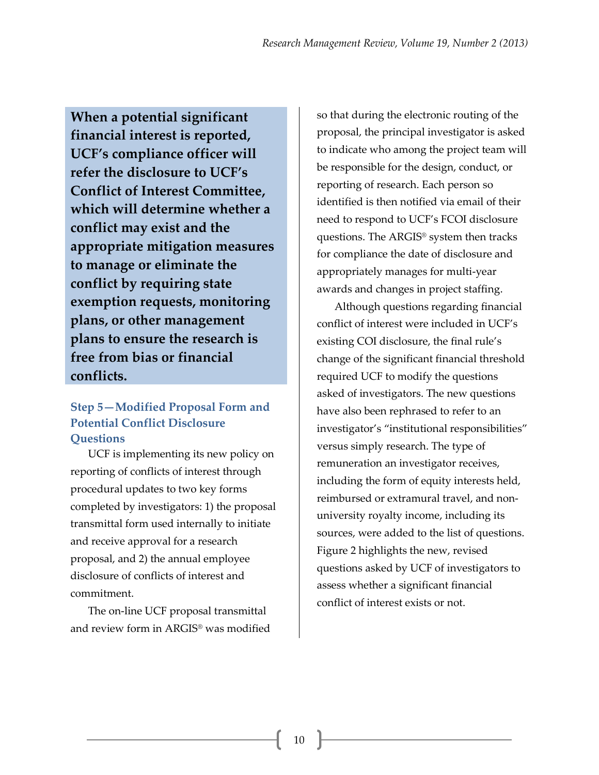**When a potential significant financial interest is reported, UCF's compliance officer will refer the disclosure to UCF's Conflict of Interest Committee, which will determine whether a conflict may exist and the appropriate mitigation measures to manage or eliminate the conflict by requiring state exemption requests, monitoring plans, or other management plans to ensure the research is free from bias or financial conflicts.**

# **Step 5—Modified Proposal Form and Potential Conflict Disclosure Questions**

UCF is implementing its new policy on reporting of conflicts of interest through procedural updates to two key forms completed by investigators: 1) the proposal transmittal form used internally to initiate and receive approval for a research proposal, and 2) the annual employee disclosure of conflicts of interest and commitment.

The on-line UCF proposal transmittal and review form in ARGIS® was modified so that during the electronic routing of the proposal, the principal investigator is asked to indicate who among the project team will be responsible for the design, conduct, or reporting of research. Each person so identified is then notified via email of their need to respond to UCF's FCOI disclosure questions. The ARGIS® system then tracks for compliance the date of disclosure and appropriately manages for multi-year awards and changes in project staffing.

Although questions regarding financial conflict of interest were included in UCF's existing COI disclosure, the final rule's change of the significant financial threshold required UCF to modify the questions asked of investigators. The new questions have also been rephrased to refer to an investigator's "institutional responsibilities" versus simply research. The type of remuneration an investigator receives, including the form of equity interests held, reimbursed or extramural travel, and nonuniversity royalty income, including its sources, were added to the list of questions. Figure 2 highlights the new, revised questions asked by UCF of investigators to assess whether a significant financial conflict of interest exists or not.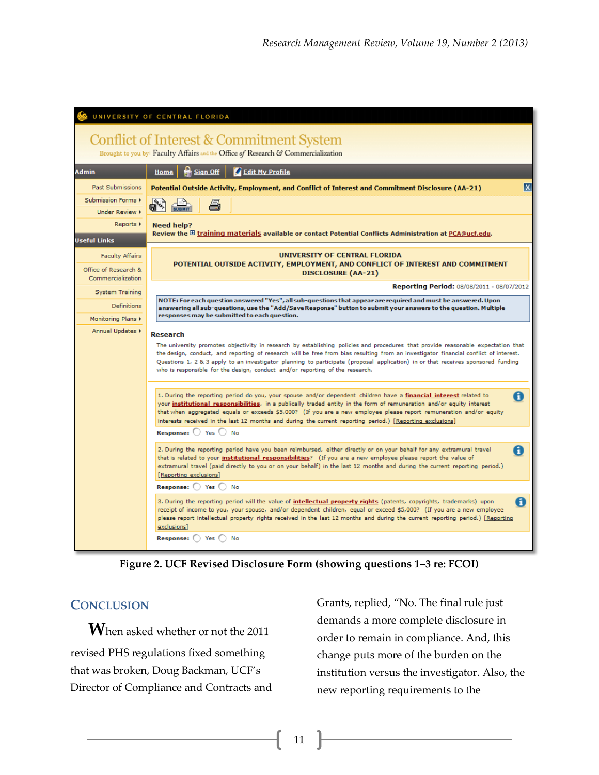| UNIVERSITY OF CENTRAL FLORIDA                                                     |                                                                                                                                                                                                                                                                                                                                                                                                                                                                                                                                      |
|-----------------------------------------------------------------------------------|--------------------------------------------------------------------------------------------------------------------------------------------------------------------------------------------------------------------------------------------------------------------------------------------------------------------------------------------------------------------------------------------------------------------------------------------------------------------------------------------------------------------------------------|
| Conflict of Interest & Commitment System                                          |                                                                                                                                                                                                                                                                                                                                                                                                                                                                                                                                      |
| Brought to you by: Faculty Affairs and the Office of Research & Commercialization |                                                                                                                                                                                                                                                                                                                                                                                                                                                                                                                                      |
| <b>Admin</b>                                                                      | <b>Edit My Profile</b><br><b>Sign Off</b><br>Home                                                                                                                                                                                                                                                                                                                                                                                                                                                                                    |
| <b>Past Submissions</b>                                                           | x<br>Potential Outside Activity, Employment, and Conflict of Interest and Commitment Disclosure (AA-21)                                                                                                                                                                                                                                                                                                                                                                                                                              |
| Submission Forms I                                                                |                                                                                                                                                                                                                                                                                                                                                                                                                                                                                                                                      |
| Under Review <b>K</b>                                                             |                                                                                                                                                                                                                                                                                                                                                                                                                                                                                                                                      |
| Reports $\triangleright$                                                          | <b>Need help?</b><br>Review the E training materials available or contact Potential Conflicts Administration at PCA@ucf.edu.                                                                                                                                                                                                                                                                                                                                                                                                         |
| <b>Useful Links</b>                                                               |                                                                                                                                                                                                                                                                                                                                                                                                                                                                                                                                      |
| <b>Faculty Affairs</b>                                                            | UNIVERSITY OF CENTRAL FLORIDA<br>POTENTIAL OUTSIDE ACTIVITY, EMPLOYMENT, AND CONFLICT OF INTEREST AND COMMITMENT                                                                                                                                                                                                                                                                                                                                                                                                                     |
| Office of Research &<br>Commercialization                                         | <b>DISCLOSURE (AA-21)</b>                                                                                                                                                                                                                                                                                                                                                                                                                                                                                                            |
| System Training                                                                   | Reporting Period: 08/08/2011 - 08/07/2012                                                                                                                                                                                                                                                                                                                                                                                                                                                                                            |
| <b>Definitions</b>                                                                | NOTE: For each question answered "Yes", all sub-questions that appear are required and must be answered. Upon<br>answering all sub-questions, use the "Add/Save Response" button to submit your answers to the question. Multiple                                                                                                                                                                                                                                                                                                    |
| Monitoring Plans $\blacktriangleright$                                            | responses may be submitted to each question.                                                                                                                                                                                                                                                                                                                                                                                                                                                                                         |
| Annual Updates >                                                                  | <b>Research</b><br>The university promotes objectivity in research by establishing policies and procedures that provide reasonable expectation that<br>the design, conduct, and reporting of research will be free from bias resulting from an investigator financial conflict of interest.<br>Questions 1, 2 & 3 apply to an investigator planning to participate (proposal application) in or that receives sponsored funding<br>who is responsible for the design, conduct and/or reporting of the research.                      |
|                                                                                   | 1. During the reporting period do you, your spouse and/or dependent children have a financial interest related to<br>A<br>your institutional responsibilities, in a publically traded entity in the form of remuneration and/or equity interest<br>that when aggregated equals or exceeds \$5,000? (If you are a new employee please report remuneration and/or equity<br>interests received in the last 12 months and during the current reporting period.) [Reporting exclusions]<br><b>Response:</b> $\bigcirc$ Yes $\bigcirc$ No |
|                                                                                   | 2. During the reporting period have you been reimbursed, either directly or on your behalf for any extramural travel<br>A<br>that is related to your institutional responsibilities? (If you are a new employee please report the value of<br>extramural travel (paid directly to you or on your behalf) in the last 12 months and during the current reporting period.)<br>[Reporting exclusions]                                                                                                                                   |
|                                                                                   | Response: Yes<br>) No                                                                                                                                                                                                                                                                                                                                                                                                                                                                                                                |
|                                                                                   | A<br>3. During the reporting period will the value of intellectual property rights (patents, copyrights, trademarks) upon<br>receipt of income to you, your spouse, and/or dependent children, equal or exceed \$5,000? (If you are a new employee<br>please report intellectual property rights received in the last 12 months and during the current reporting period.) [Reporting<br>exclusions]                                                                                                                                  |
|                                                                                   | Response: ( ) Yes<br>No                                                                                                                                                                                                                                                                                                                                                                                                                                                                                                              |

**Figure 2. UCF Revised Disclosure Form (showing questions 1‒3 re: FCOI)**

### **CONCLUSION**

**W**hen asked whether or not the <sup>2011</sup> revised PHS regulations fixed something that was broken, Doug Backman, UCF's Director of Compliance and Contracts and Grants, replied, "No. The final rule just demands a more complete disclosure in order to remain in compliance. And, this change puts more of the burden on the institution versus the investigator. Also, the new reporting requirements to the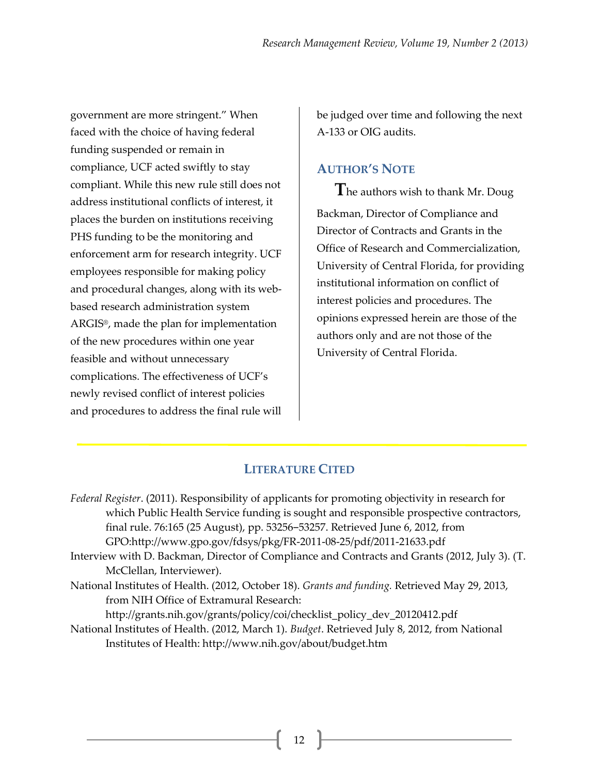government are more stringent." When faced with the choice of having federal funding suspended or remain in compliance, UCF acted swiftly to stay compliant. While this new rule still does not address institutional conflicts of interest, it places the burden on institutions receiving PHS funding to be the monitoring and enforcement arm for research integrity. UCF employees responsible for making policy and procedural changes, along with its webbased research administration system ARGIS®, made the plan for implementation of the new procedures within one year feasible and without unnecessary complications. The effectiveness of UCF's newly revised conflict of interest policies and procedures to address the final rule will

be judged over time and following the next A-133 or OIG audits.

# **AUTHOR'S NOTE**

**T**he authors wish to thank Mr. Doug Backman, Director of Compliance and Director of Contracts and Grants in the Office of Research and Commercialization, University of Central Florida, for providing institutional information on conflict of interest policies and procedures. The opinions expressed herein are those of the authors only and are not those of the University of Central Florida.

# **LITERATURE CITED**

| Federal Register. (2011). Responsibility of applicants for promoting objectivity in research for |  |
|--------------------------------------------------------------------------------------------------|--|
| which Public Health Service funding is sought and responsible prospective contractors,           |  |
| final rule. 76:165 (25 August), pp. 53256-53257. Retrieved June 6, 2012, from                    |  |
| GPO:http://www.gpo.gov/fdsys/pkg/FR-2011-08-25/pdf/2011-21633.pdf                                |  |
| Interview with D. Backman, Director of Compliance and Contracts and Grants (2012, July 3). (T.   |  |
| McClellan, Interviewer).                                                                         |  |
| National Institutes of Health. (2012, October 18). Grants and funding. Retrieved May 29, 2013,   |  |
| from NIH Office of Extramural Research:                                                          |  |
| http://grants.nih.gov/grants/policy/coi/checklist_policy_dev_20120412.pdf                        |  |
| National Institutes of Health. (2012, March 1). Budget. Retrieved July 8, 2012, from National    |  |
| Institutes of Health: http://www.nih.gov/about/budget.htm                                        |  |